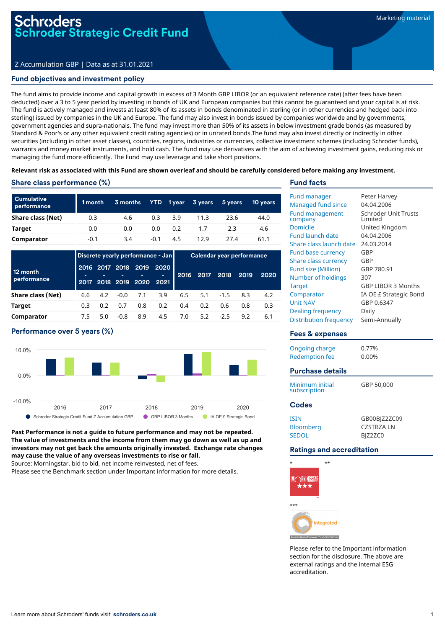#### Fund objectives and investment policy

The fund aims to provide income and capital growth in excess of 3 Month GBP LIBOR (or an equivalent reference rate) (after fees have been deducted) over a 3 to 5 year period by investing in bonds of UK and European companies but this cannot be guaranteed and your capital is at risk. The fund is actively managed and invests at least 80% of its assets in bonds denominated in sterling (or in other currencies and hedged back into sterling) issued by companies in the UK and Europe. The fund may also invest in bonds issued by companies worldwide and by governments, government agencies and supra-nationals. The fund may invest more than 50% of its assets in below investment grade bonds (as measured by Standard & Poor's or any other equivalent credit rating agencies) or in unrated bonds.The fund may also invest directly or indirectly in other securities (including in other asset classes), countries, regions, industries or currencies, collective investment schemes (including Schroder funds), warrants and money market instruments, and hold cash. The fund may use derivatives with the aim of achieving investment gains, reducing risk or managing the fund more efficiently. The Fund may use leverage and take short positions.

#### Relevant risk as associated with this Fund are shown overleaf and should be carefully considered before making any investment.

#### Share class performance (%)

| <b>Cumulative</b><br>performance | 1 month | 3 months | <b>YTD</b> | 1 year | 3 years | 5 years | 10 years |
|----------------------------------|---------|----------|------------|--------|---------|---------|----------|
| Share class (Net)                | 0.3     | 4.6      | 0.3        | 3.9    | 11.3    | 23.6    | 44.0     |
| Target                           | 0.0     | 0.0      | 0.0        | 0.2    | 1.7     | フ3      | 4.6      |
| Comparator                       | $-0.1$  | 3.4      | $-0.1$     | 4.5    | 129     | 27.4    | 61.1     |

|                         | Discrete yearly performance - Jan |     |        |                                       |                |      |           | Calendar year performance |      |      |
|-------------------------|-----------------------------------|-----|--------|---------------------------------------|----------------|------|-----------|---------------------------|------|------|
| 12 month<br>performance | 2017                              |     |        | 2016 2017 2018 2019<br>2018 2019 2020 | - 2020<br>2021 | 2016 | 2017 2018 |                           | 2019 | 2020 |
| Share class (Net)       | 6.6                               | 4.2 | $-0.0$ | 7.1                                   | 3.9            | 6.5  | 5.1       | $-1.5$                    | 8.3  | 4.2  |
| <b>Target</b>           | 0.3                               | 0.2 | 0.7    | 0.8                                   | 0.2            | 0.4  | 0.2       | 0.6                       | 0.8  | 0.3  |
| Comparator              | 7.5                               | 5.0 | $-0.8$ | 8.9                                   | 4.5            | 7.0  | 5.2       | $-2.5$                    | 9.2  | 6.1  |

# Performance over 5 years (%)



**Past Performance is not a guide to future performance and may not be repeated. The value of investments and the income from them may go down as well as up and investors may not get back the amounts originally invested. Exchange rate changes may cause the value of any overseas investments to rise or fall.** Source: Morningstar, bid to bid, net income reinvested, net of fees.

Please see the Benchmark section under Important information for more details.

# Fund facts

| <b>Fund manager</b>               | Peter Harvey                     |
|-----------------------------------|----------------------------------|
| Managed fund since                | 04.04.2006                       |
| <b>Fund management</b><br>company | Schroder Unit Trusts<br>I imited |
| Domicile                          | United Kingdom                   |
| Fund launch date                  | 04.04.2006                       |
| Share class launch date           | 24.03.2014                       |
| <b>Fund base currency</b>         | GBP                              |
| Share class currency              | GBP                              |
| <b>Fund size (Million)</b>        | GBP 780.91                       |
| Number of holdings                | 307                              |
| <b>Target</b>                     | <b>GBP LIBOR 3 Months</b>        |
| Comparator                        | IA OE £ Strategic Bond           |
| <b>Unit NAV</b>                   | GBP 0.6347                       |
| Dealing frequency                 | Daily                            |
| Distribution frequency            | Semi-Annually                    |

#### Fees & expenses

| $0.00\%$ |
|----------|
| 0.77%    |
|          |

| Minimum initial<br>subscription | GBP 50,000 |
|---------------------------------|------------|
| <b>Codes</b>                    |            |

| <b>ISIN</b>      | GB00BIZ2ZC09 |
|------------------|--------------|
| <b>Bloomberg</b> | CZSTBZA LN   |
| <b>SEDOL</b>     | BIZ2ZC0      |

#### Ratings and accreditation



\*\*\* ntegrated

Please refer to the Important information section for the disclosure. The above are external ratings and the internal ESG accreditation.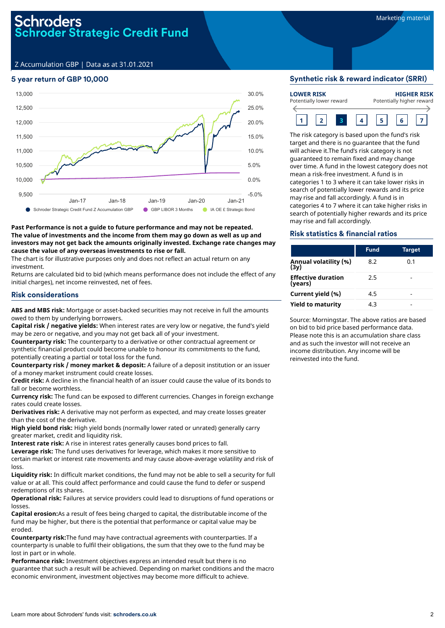#### 5 year return of GBP 10,000



#### **Past Performance is not a guide to future performance and may not be repeated. The value of investments and the income from them may go down as well as up and investors may not get back the amounts originally invested. Exchange rate changes may cause the value of any overseas investments to rise or fall.**

The chart is for illustrative purposes only and does not reflect an actual return on any investment.

Returns are calculated bid to bid (which means performance does not include the effect of any initial charges), net income reinvested, net of fees.

#### Risk considerations

**ABS and MBS risk:** Mortgage or asset-backed securities may not receive in full the amounts owed to them by underlying borrowers.

**Capital risk / negative yields:** When interest rates are very low or negative, the fund's yield may be zero or negative, and you may not get back all of your investment.

**Counterparty risk:** The counterparty to a derivative or other contractual agreement or synthetic financial product could become unable to honour its commitments to the fund, potentially creating a partial or total loss for the fund.

**Counterparty risk / money market & deposit:** A failure of a deposit institution or an issuer of a money market instrument could create losses.

**Credit risk:** A decline in the financial health of an issuer could cause the value of its bonds to fall or become worthless.

**Currency risk:** The fund can be exposed to different currencies. Changes in foreign exchange rates could create losses.

**Derivatives risk:** A derivative may not perform as expected, and may create losses greater than the cost of the derivative.

**High yield bond risk:** High yield bonds (normally lower rated or unrated) generally carry greater market, credit and liquidity risk.

**Interest rate risk:** A rise in interest rates generally causes bond prices to fall. **Leverage risk:** The fund uses derivatives for leverage, which makes it more sensitive to certain market or interest rate movements and may cause above-average volatility and risk of loss.

**Liquidity risk:** In difficult market conditions, the fund may not be able to sell a security for full value or at all. This could affect performance and could cause the fund to defer or suspend redemptions of its shares.

**Operational risk:** Failures at service providers could lead to disruptions of fund operations or losses.

**Capital erosion:**As a result of fees being charged to capital, the distributable income of the fund may be higher, but there is the potential that performance or capital value may be eroded.

**Counterparty risk:**The fund may have contractual agreements with counterparties. If a counterparty is unable to fulfil their obligations, the sum that they owe to the fund may be lost in part or in whole.

**Performance risk:** Investment objectives express an intended result but there is no guarantee that such a result will be achieved. Depending on market conditions and the macro economic environment, investment objectives may become more difficult to achieve.

#### Synthetic risk & reward indicator (SRRI)

| <b>LOWER RISK</b><br>Potentially lower reward |  |  |  |  | <b>HIGHER RISK</b><br>Potentially higher reward |
|-----------------------------------------------|--|--|--|--|-------------------------------------------------|
|                                               |  |  |  |  |                                                 |

The risk category is based upon the fund's risk target and there is no guarantee that the fund will achieve it.The fund's risk category is not guaranteed to remain fixed and may change over time. A fund in the lowest category does not mean a risk-free investment. A fund is in categories 1 to 3 where it can take lower risks in search of potentially lower rewards and its price may rise and fall accordingly. A fund is in categories 4 to 7 where it can take higher risks in search of potentially higher rewards and its price may rise and fall accordingly.

#### Risk statistics & financial ratios

|                                      | <b>Fund</b> | <b>Target</b> |
|--------------------------------------|-------------|---------------|
| Annual volatility (%)<br>(3y)        | 8.2         | 0.1           |
| <b>Effective duration</b><br>(years) | 2.5         |               |
| Current yield (%)                    | 4.5         |               |
| <b>Yield to maturity</b>             | 4.3         |               |

Source: Morningstar. The above ratios are based on bid to bid price based performance data. Please note this is an accumulation share class and as such the investor will not receive an income distribution. Any income will be reinvested into the fund.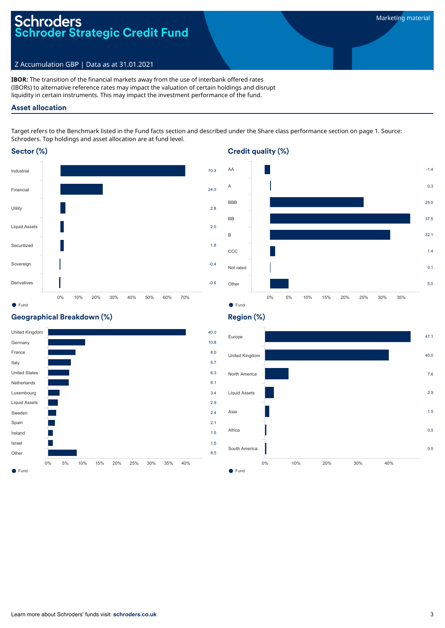# Schroders<br>Schroder Strategic Credit Fund

# Z Accumulation GBP | Data as at 31.01.2021

**IBOR:** The transition of the financial markets away from the use of interbank offered rates (IBORs) to alternative reference rates may impact the valuation of certain holdings and disrupt liquidity in certain instruments. This may impact the investment performance of the fund.

# Asset allocation

Target refers to the Benchmark listed in the Fund facts section and described under the Share class performance section on page 1. Source: Schroders. Top holdings and asset allocation are at fund level.

# Sector (%)



# Geographical Breakdown (%)



# Credit quality (%)



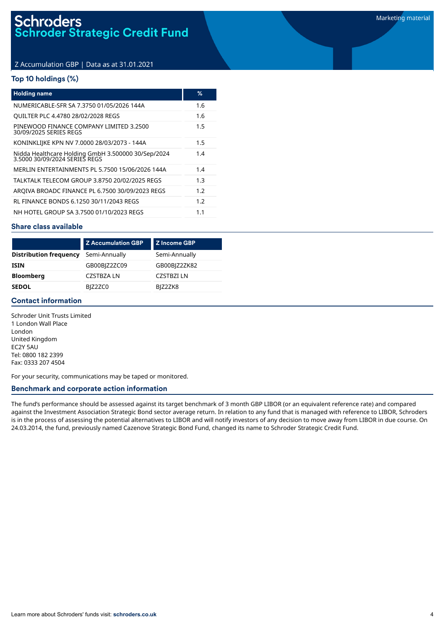#### Top 10 holdings (%)

| <b>Holding name</b>                                                                 | ℅   |
|-------------------------------------------------------------------------------------|-----|
| NUMERICABLE-SFR SA 7.3750 01/05/2026 144A                                           | 1.6 |
| <b>QUILTER PLC 4.4780 28/02/2028 REGS</b>                                           | 1.6 |
| PINEWOOD FINANCE COMPANY LIMITED 3.2500<br>30/09/2025 SERIES REGS                   | 1.5 |
| KONINKLIJKE KPN NV 7.0000 28/03/2073 - 144A                                         | 1.5 |
| Nidda Healthcare Holding GmbH 3.500000 30/Sep/2024<br>3.5000 30/09/2024 SERIES REGS | 1.4 |
| MERLIN ENTERTAINMENTS PL 5.7500 15/06/2026 144A                                     | 1.4 |
| TALKTALK TELECOM GROUP 3.8750 20/02/2025 REGS                                       | 1.3 |
| ARQIVA BROADC FINANCE PL 6.7500 30/09/2023 REGS                                     | 1.2 |
| RL FINANCE BONDS 6.1250 30/11/2043 REGS                                             | 1.2 |
| NH HOTEL GROUP SA 3.7500 01/10/2023 REGS                                            | 1.1 |

#### Share class available

|                               | <b>Z Accumulation GBP</b> | <b>Z</b> Income GBP |
|-------------------------------|---------------------------|---------------------|
| <b>Distribution frequency</b> | Semi-Annually             | Semi-Annually       |
| <b>ISIN</b>                   | GB00BIZ2ZC09              | GB00BIZ2ZK82        |
| <b>Bloomberg</b>              | <b>CZSTBZALN</b>          | <b>CZSTBZILN</b>    |
| <b>SEDOL</b>                  | BIZ2ZC0                   | BIZ2ZK8             |

#### Contact information

Schroder Unit Trusts Limited 1 London Wall Place London United Kingdom EC2Y 5AU Tel: 0800 182 2399 Fax: 0333 207 4504

For your security, communications may be taped or monitored.

## Benchmark and corporate action information

The fund's performance should be assessed against its target benchmark of 3 month GBP LIBOR (or an equivalent reference rate) and compared against the Investment Association Strategic Bond sector average return. In relation to any fund that is managed with reference to LIBOR, Schroders is in the process of assessing the potential alternatives to LIBOR and will notify investors of any decision to move away from LIBOR in due course. On 24.03.2014, the fund, previously named Cazenove Strategic Bond Fund, changed its name to Schroder Strategic Credit Fund.